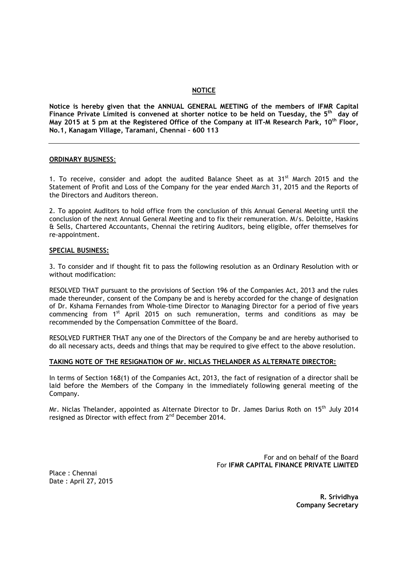## **NOTICE**

**Notice is hereby given that the ANNUAL GENERAL MEETING of the members of IFMR Capital Finance Private Limited is convened at shorter notice to be held on Tuesday, the 5 th day of May 2015 at 5 pm at the Registered Office of the Company at IIT-M Research Park, 10th Floor, No.1, Kanagam Village, Taramani, Chennai – 600 113**

#### **ORDINARY BUSINESS**:

1. To receive, consider and adopt the audited Balance Sheet as at  $31^{st}$  March 2015 and the Statement of Profit and Loss of the Company for the year ended March 31, 2015 and the Reports of the Directors and Auditors thereon.

2. To appoint Auditors to hold office from the conclusion of this Annual General Meeting until the conclusion of the next Annual General Meeting and to fix their remuneration. M/s. Deloitte, Haskins & Sells, Chartered Accountants, Chennai the retiring Auditors, being eligible, offer themselves for re-appointment.

#### **SPECIAL BUSINESS:**

3. To consider and if thought fit to pass the following resolution as an Ordinary Resolution with or without modification:

RESOLVED THAT pursuant to the provisions of Section 196 of the Companies Act, 2013 and the rules made thereunder, consent of the Company be and is hereby accorded for the change of designation of Dr. Kshama Fernandes from Whole-time Director to Managing Director for a period of five years commencing from 1st April 2015 on such remuneration, terms and conditions as may be recommended by the Compensation Committee of the Board.

RESOLVED FURTHER THAT any one of the Directors of the Company be and are hereby authorised to do all necessary acts, deeds and things that may be required to give effect to the above resolution.

#### **TAKING NOTE OF THE RESIGNATION OF Mr. NICLAS THELANDER AS ALTERNATE DIRECTOR:**

In terms of Section 168(1) of the Companies Act, 2013, the fact of resignation of a director shall be laid before the Members of the Company in the immediately following general meeting of the Company.

Mr. Niclas Thelander, appointed as Alternate Director to Dr. James Darius Roth on 15<sup>th</sup> July 2014 resigned as Director with effect from  $2<sup>nd</sup>$  December 2014.

> For and on behalf of the Board For **IFMR CAPITAL FINANCE PRIVATE LIMITED**

Place : Chennai Date : April 27, 2015

> **R. Srividhya Company Secretary**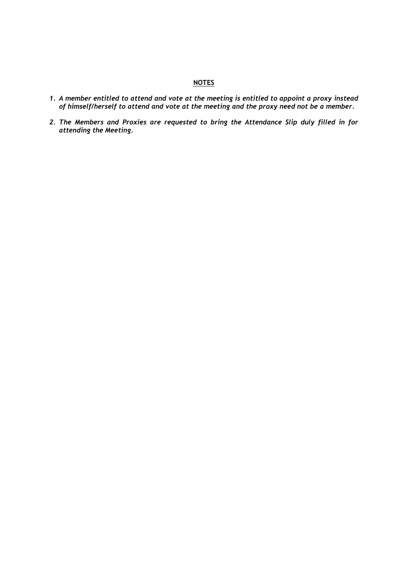## **NOTES**

- *1. A member entitled to attend and vote at the meeting is entitled to appoint a proxy instead of himself/herself to attend and vote at the meeting and the proxy need not be a member.*
- *2. The Members and Proxies are requested to bring the Attendance Slip duly filled in for attending the Meeting.*